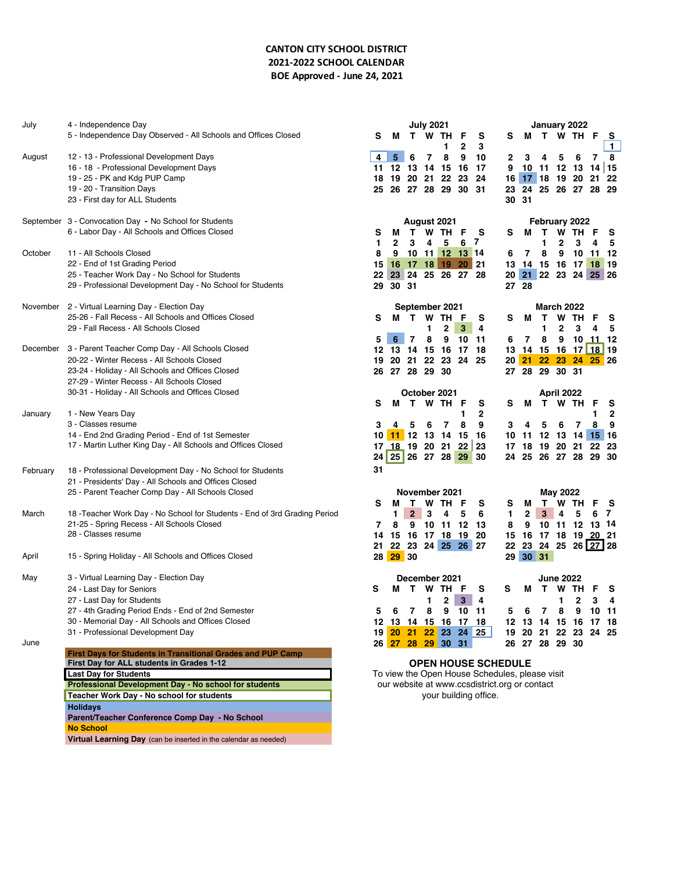## **CANTON CITY SCHOOL DISTRICT 2021-2022 SCHOOL CALENDAR BOE Approved - June 24, 2021**

| July     | 4 - Independence Day                                                                                              |   |        |                   |                | <b>July 2021</b> |                                           |        |                                                                                                 |    |              | January 2022         |                  |                |       |                   |
|----------|-------------------------------------------------------------------------------------------------------------------|---|--------|-------------------|----------------|------------------|-------------------------------------------|--------|-------------------------------------------------------------------------------------------------|----|--------------|----------------------|------------------|----------------|-------|-------------------|
|          | 5 - Independence Day Observed - All Schools and Offices Closed                                                    |   | s      | м                 |                | T W TH           | 1                                         | F<br>2 | s<br>3                                                                                          | s  | м            |                      |                  | T W TH         | F     | s<br>$\mathbf{1}$ |
| August   | 12 - 13 - Professional Development Days                                                                           |   | 4      | 5                 | 6              | 7                | 8                                         | 9      | 10                                                                                              | 2  | 3            | 4                    | 5                | 6              | 7     | 8                 |
|          | 16 - 18 - Professional Development Days                                                                           |   |        |                   |                |                  | 11 12 13 14 15 16                         |        | -17                                                                                             | 9  |              | $10$ 11 12 13 14 15  |                  |                |       |                   |
|          | 19 - 25 - PK and Kdg PUP Camp                                                                                     |   | 18     |                   |                |                  | 19 20 21 22 23                            |        | 24                                                                                              |    |              | 16 17 18 19 20       |                  |                | 21    | -22               |
|          | 19 - 20 - Transition Days                                                                                         |   | 25     |                   |                |                  | 26 27 28 29 30                            |        | 31                                                                                              | 23 |              | 24 25 26 27 28 29    |                  |                |       |                   |
|          | 23 - First day for ALL Students                                                                                   |   |        |                   |                |                  |                                           |        |                                                                                                 |    | 30 31        |                      |                  |                |       |                   |
|          | September 3 - Convocation Day - No School for Students                                                            |   |        |                   |                |                  | August 2021                               |        |                                                                                                 |    |              | February 2022        |                  |                |       |                   |
|          | 6 - Labor Day - All Schools and Offices Closed                                                                    |   | s<br>1 | м<br>$\mathbf{2}$ | т<br>3         | 4                | W TH<br>5                                 | F<br>6 | s<br>7                                                                                          | s  | м            | T.<br>1              | 2                | W TH<br>3      | F     | s<br>5            |
| October  | 11 - All Schools Closed                                                                                           |   | 8      | 9                 |                |                  | 10 11 12 13 14                            |        |                                                                                                 | 6  | 7            | 8                    | 9                | 10             | 11 12 |                   |
|          | 22 - End of 1st Grading Period                                                                                    |   | 15     |                   |                |                  | 16 17 18 19 20 21                         |        |                                                                                                 |    |              | 13 14 15 16 17 18    |                  |                |       | 19                |
|          | 25 - Teacher Work Day - No School for Students                                                                    |   | 22     |                   |                |                  | 23 24 25 26 27 28                         |        |                                                                                                 |    |              | 20 21 22 23 24 25 26 |                  |                |       |                   |
|          | 29 - Professional Development Day - No School for Students                                                        |   | 29     | 30 31             |                |                  |                                           |        |                                                                                                 |    | 27 28        |                      |                  |                |       |                   |
|          | November 2 - Virtual Learning Day - Election Day                                                                  |   |        |                   |                |                  | September 2021                            |        |                                                                                                 |    |              | <b>March 2022</b>    |                  |                |       |                   |
|          | 25-26 - Fall Recess - All Schools and Offices Closed                                                              |   | s      | м                 | $\mathbf{T}$   |                  | W TH                                      | F      | s                                                                                               | s  | м            | Т                    |                  | W TH           | F     | s                 |
|          | 29 - Fall Recess - All Schools Closed                                                                             |   |        |                   |                | 1                | $\mathbf{2}$                              | 3      | 4                                                                                               |    |              | 1                    | $\mathbf{2}$     | 3              | 4     | 5                 |
|          |                                                                                                                   |   | 5      | 6                 | 7              | 8                | 9                                         | 10     | - 11                                                                                            | 6  | 7            | 8                    | 9                | 10             | 11 12 |                   |
|          | December 3 - Parent Teacher Comp Day - All Schools Closed                                                         |   |        |                   |                |                  | 12 13 14 15 16 17                         |        | -18                                                                                             |    |              | 13 14 15 16 17 18 19 |                  |                |       |                   |
|          | 20-22 - Winter Recess - All Schools Closed                                                                        |   | 19     |                   |                |                  | 20 21 22 23 24 25                         |        |                                                                                                 |    |              | 20 21 22 23 24 25 26 |                  |                |       |                   |
|          | 23-24 - Holiday - All Schools and Offices Closed                                                                  |   |        |                   | 26 27 28 29 30 |                  |                                           |        |                                                                                                 |    |              | 27 28 29 30 31       |                  |                |       |                   |
|          | 27-29 - Winter Recess - All Schools Closed                                                                        |   |        |                   |                |                  |                                           |        |                                                                                                 |    |              |                      |                  |                |       |                   |
|          | 30-31 - Holiday - All Schools and Offices Closed                                                                  |   |        |                   |                |                  | October 2021                              |        |                                                                                                 |    |              |                      | April 2022       |                |       |                   |
|          |                                                                                                                   |   | s      | м                 |                |                  | T W TH                                    | F      | s                                                                                               | s  | М            |                      | T W TH           |                | F     | s                 |
| January  | 1 - New Years Day                                                                                                 |   |        |                   |                |                  |                                           | 1      | 2                                                                                               |    |              |                      |                  |                | 1     | $\mathbf{2}$      |
|          | 3 - Classes resume                                                                                                |   | 3      | 4                 | 5              | 6                | 7                                         | 8      | 9                                                                                               | 3  | 4            | 5                    | 6                | 7              | 8     | 9                 |
|          | 14 - End 2nd Grading Period - End of 1st Semester<br>17 - Martin Luther King Day - All Schools and Offices Closed |   | 10     |                   |                |                  | 11 12 13 14 15                            |        | - 16                                                                                            |    |              | 10 11 12 13 14 15 16 |                  |                |       |                   |
|          |                                                                                                                   |   |        |                   |                |                  | 17 18 19 20 21 22 23<br>24 25 26 27 28 29 |        | 30                                                                                              | 24 | 25           | 17 18 19 20 21       |                  | 26 27 28 29 30 | 22    | - 23              |
|          |                                                                                                                   |   |        |                   |                |                  |                                           |        |                                                                                                 |    |              |                      |                  |                |       |                   |
| February | 18 - Professional Development Day - No School for Students                                                        |   | 31     |                   |                |                  |                                           |        |                                                                                                 |    |              |                      |                  |                |       |                   |
|          | 21 - Presidents' Day - All Schools and Offices Closed                                                             |   |        |                   |                |                  |                                           |        |                                                                                                 |    |              |                      |                  |                |       |                   |
|          | 25 - Parent Teacher Comp Day - All Schools Closed                                                                 |   | s      | м                 | Т              |                  | November 2021<br>W TH F                   |        | s                                                                                               | s  | М            | T.                   | May 2022         | W TH           | F     | s                 |
| March    | 18 - Teacher Work Day - No School for Students - End of 3rd Grading Period                                        |   |        | 1.                | $\mathbf{2}$   | 3                | 4                                         | 5      | 6                                                                                               | 1  | $\mathbf{2}$ | 3                    | 4                | 5              | 6     | 7                 |
|          | 21-25 - Spring Recess - All Schools Closed                                                                        |   | 7      | 8                 | 9              |                  | 10 11 12                                  |        | - 13                                                                                            | 8  | 9            |                      |                  | 10 11 12 13 14 |       |                   |
|          | 28 - Classes resume                                                                                               |   | 14     |                   |                |                  | 15 16 17 18 19                            |        | -20                                                                                             |    |              | 15 16 17 18 19 20 21 |                  |                |       |                   |
|          |                                                                                                                   |   | 21     |                   |                |                  | 22 23 24 25 26 27                         |        |                                                                                                 |    |              | 22 23 24 25 26 27 28 |                  |                |       |                   |
| April    | 15 - Spring Holiday - All Schools and Offices Closed                                                              |   |        | 28 29 30          |                |                  |                                           |        |                                                                                                 |    |              | 29 30 31             |                  |                |       |                   |
| May      | 3 - Virtual Learning Day - Election Day                                                                           |   |        |                   |                |                  | December 2021                             |        |                                                                                                 |    |              |                      | <b>June 2022</b> |                |       |                   |
|          | 24 - Last Day for Seniors                                                                                         | s |        | м                 | $\mathbf{T}$   | <b>W</b>         | TH                                        | F      | s                                                                                               | s  | м            | T W TH               |                  |                |       | s                 |
|          | 27 - Last Day for Students                                                                                        |   |        |                   |                | 1                | $\mathbf{2}$                              | 3      | 4                                                                                               |    |              |                      | 1                | $\mathbf{2}$   | 3     | 4                 |
|          | 27 - 4th Grading Period Ends - End of 2nd Semester                                                                |   |        |                   |                |                  | 6 7 8 9 10 11                             |        |                                                                                                 |    |              | 5 6 7 8 9 10 11      |                  |                |       |                   |
|          | 30 - Memorial Day - All Schools and Offices Closed                                                                |   |        |                   |                |                  |                                           |        | 12 13 14 15 16 17 18                                                                            |    |              | 12 13 14 15 16 17 18 |                  |                |       |                   |
|          | 31 - Professional Development Day                                                                                 |   |        |                   |                |                  |                                           |        | 19 20 21 22 23 24 25                                                                            |    |              | 19 20 21 22 23 24 25 |                  |                |       |                   |
| June     |                                                                                                                   |   |        |                   |                |                  | 26 27 28 29 30 31                         |        |                                                                                                 |    |              | 26 27 28 29 30       |                  |                |       |                   |
|          | First Days for Students in Transitional Grades and PUP Camp                                                       |   |        |                   |                |                  |                                           |        |                                                                                                 |    |              |                      |                  |                |       |                   |
|          | First Day for ALL students in Grades 1-12                                                                         |   |        |                   |                |                  |                                           |        | <b>OPEN HOUSE SCHEDULE</b>                                                                      |    |              |                      |                  |                |       |                   |
|          | <b>Last Day for Students</b><br>Professional Development Day - No school for students                             |   |        |                   |                |                  |                                           |        | To view the Open House Schedules, please visit<br>our website at www.ccsdistrict.org or contact |    |              |                      |                  |                |       |                   |
|          | Teacher Work Day - No school for students                                                                         |   |        |                   |                |                  |                                           |        | your building office.                                                                           |    |              |                      |                  |                |       |                   |
|          | <b>Holidays</b>                                                                                                   |   |        |                   |                |                  |                                           |        |                                                                                                 |    |              |                      |                  |                |       |                   |
|          | Parent/Teacher Conference Comp Day - No School                                                                    |   |        |                   |                |                  |                                           |        |                                                                                                 |    |              |                      |                  |                |       |                   |
|          | <b>No School</b>                                                                                                  |   |        |                   |                |                  |                                           |        |                                                                                                 |    |              |                      |                  |                |       |                   |

**Virtual Learning Day** (can be inserted in the calendar as needed)